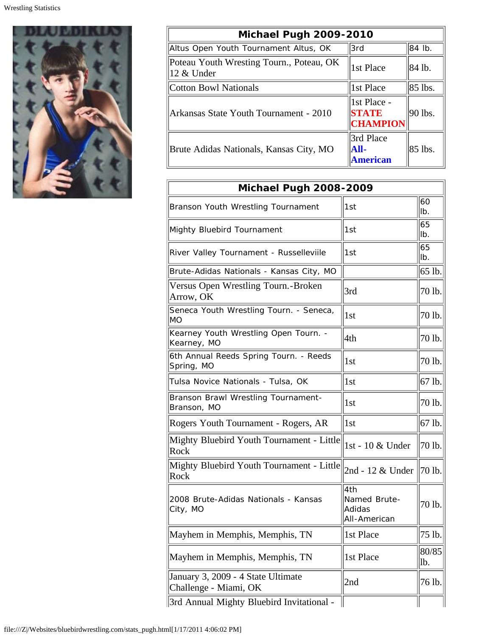

| Michael Pugh 2009-2010                                 |                                                |            |  |  |
|--------------------------------------------------------|------------------------------------------------|------------|--|--|
| Altus Open Youth Tournament Altus, OK                  | l3rd                                           | 84 lb.     |  |  |
| Poteau Youth Wresting Tourn., Poteau, OK<br>12 & Under | 1st Place                                      | 84 lb.     |  |  |
| Cotton Bowl Nationals                                  | 1st Place                                      | $ 85$ lbs. |  |  |
| Arkansas State Youth Tournament - 2010                 | 1st Place -<br><b>STATE</b><br><b>CHAMPION</b> | 90 lbs.    |  |  |
| Brute Adidas Nationals, Kansas City, MO                | 3rd Place<br> All-<br><b>American</b>          | 85 lbs.    |  |  |

| Michael Pugh 2008-2009                                      |                                               |              |  |
|-------------------------------------------------------------|-----------------------------------------------|--------------|--|
| Branson Youth Wrestling Tournament                          | 1st                                           | 60<br>Ib.    |  |
| Mighty Bluebird Tournament                                  | 1st                                           | 65<br>Ib.    |  |
| River Valley Tournament - Russelleviile                     | 1st                                           | 65<br>Ib.    |  |
| Brute-Adidas Nationals - Kansas City, MO                    |                                               | 65 lb.       |  |
| Versus Open Wrestling Tourn.-Broken<br>Arrow, OK            | 3rd                                           | 70 lb.       |  |
| Seneca Youth Wrestling Tourn. - Seneca,<br><b>MO</b>        | 1 <sub>st</sub>                               | 70 lb.       |  |
| Kearney Youth Wrestling Open Tourn. -<br>Kearney, MO        | 4th                                           | 70 lb.       |  |
| 6th Annual Reeds Spring Tourn. - Reeds<br>Spring, MO        | 1st                                           | 70 lb.       |  |
| Tulsa Novice Nationals - Tulsa, OK                          | 1st                                           | 67 lb.       |  |
| Branson Brawl Wrestling Tournament-<br>Branson, MO          | 1 <sub>st</sub>                               | 70 lb.       |  |
| Rogers Youth Tournament - Rogers, AR                        | 1st                                           | 67 lb.       |  |
| Mighty Bluebird Youth Tournament - Little<br>Rock           | 1st - 10 & Under                              | 70 lb.       |  |
| Mighty Bluebird Youth Tournament - Little<br>Rock           | 2nd - 12 & Under                              | 70 lb.       |  |
| 2008 Brute-Adidas Nationals - Kansas<br>City, MO            | 4th<br>Named Brute-<br>Adidas<br>All-American | 70 lb.       |  |
| Mayhem in Memphis, Memphis, TN                              | 1st Place                                     | $75$ lb.     |  |
| Mayhem in Memphis, Memphis, TN                              | 1st Place                                     | 80/85<br>lb. |  |
| January 3, 2009 - 4 State Ultimate<br>Challenge - Miami, OK | 2nd                                           | 76 lb.       |  |
| 3rd Annual Mighty Bluebird Invitational -                   |                                               |              |  |